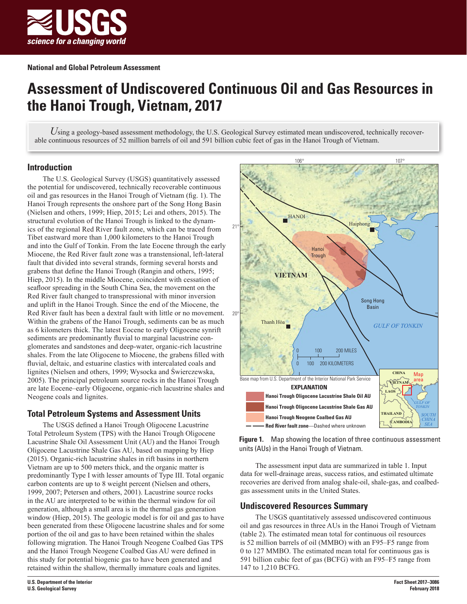

# **Assessment of Undiscovered Continuous Oil and Gas Resources in the Hanoi Trough, Vietnam, 2017**

Using a geology-based assessment methodology, the U.S. Geological Survey estimated mean undiscovered, technically recoverable continuous resources of 52 million barrels of oil and 591 billion cubic feet of gas in the Hanoi Trough of Vietnam.

## **Introduction**

The U.S. Geological Survey (USGS) quantitatively assessed the potential for undiscovered, technically recoverable continuous oil and gas resources in the Hanoi Trough of Vietnam (fig. 1). The Hanoi Trough represents the onshore part of the Song Hong Basin (Nielsen and others, 1999; Hiep, 2015; Lei and others, 2015). The structural evolution of the Hanoi Trough is linked to the dynamics of the regional Red River fault zone, which can be traced from Tibet eastward more than 1,000 kilometers to the Hanoi Trough and into the Gulf of Tonkin. From the late Eocene through the early Miocene, the Red River fault zone was a transtensional, left-lateral fault that divided into several strands, forming several horsts and grabens that define the Hanoi Trough (Rangin and others, 1995; Hiep, 2015). In the middle Miocene, coincident with cessation of seafloor spreading in the South China Sea, the movement on the Red River fault changed to transpressional with minor inversion and uplift in the Hanoi Trough. Since the end of the Miocene, the Red River fault has been a dextral fault with little or no movement. Within the grabens of the Hanoi Trough, sediments can be as much as 6 kilometers thick. The latest Eocene to early Oligocene synrift sediments are predominantly fluvial to marginal lacustrine conglomerates and sandstones and deep-water, organic-rich lacustrine shales. From the late Oligocene to Miocene, the grabens filled with fluvial, deltaic, and estuarine clastics with intercalated coals and lignites (Nielsen and others, 1999; Wysocka and Świerczewska, 2005). The principal petroleum source rocks in the Hanoi Trough are late Eocene–early Oligocene, organic-rich lacustrine shales and Neogene coals and lignites.

# **Total Petroleum Systems and Assessment Units**

The USGS defined a Hanoi Trough Oligocene Lacustrine Total Petroleum System (TPS) with the Hanoi Trough Oligocene Lacustrine Shale Oil Assessment Unit (AU) and the Hanoi Trough Oligocene Lacustrine Shale Gas AU, based on mapping by Hiep (2015). Organic-rich lacustrine shales in rift basins in northern Vietnam are up to 500 meters thick, and the organic matter is predominantly Type I with lesser amounts of Type III. Total organic carbon contents are up to 8 weight percent (Nielsen and others, 1999, 2007; Petersen and others, 2001). Lacustrine source rocks in the AU are interpreted to be within the thermal window for oil generation, although a small area is in the thermal gas generation window (Hiep, 2015). The geologic model is for oil and gas to have been generated from these Oligocene lacustrine shales and for some portion of the oil and gas to have been retained within the shales following migration. The Hanoi Trough Neogene Coalbed Gas TPS and the Hanoi Trough Neogene Coalbed Gas AU were defined in this study for potential biogenic gas to have been generated and retained within the shallow, thermally immature coals and lignites.



**Figure 1.** Map showing the location of three continuous assessment units (AUs) in the Hanoi Trough of Vietnam.

The assessment input data are summarized in table 1. Input data for well-drainage areas, success ratios, and estimated ultimate recoveries are derived from analog shale-oil, shale-gas, and coalbedgas assessment units in the United States.

## **Undiscovered Resources Summary**

The USGS quantitatively assessed undiscovered continuous oil and gas resources in three AUs in the Hanoi Trough of Vietnam (table 2). The estimated mean total for continuous oil resources is 52 million barrels of oil (MMBO) with an F95–F5 range from 0 to 127 MMBO. The estimated mean total for continuous gas is 591 billion cubic feet of gas (BCFG) with an F95–F5 range from 147 to 1,210 BCFG.